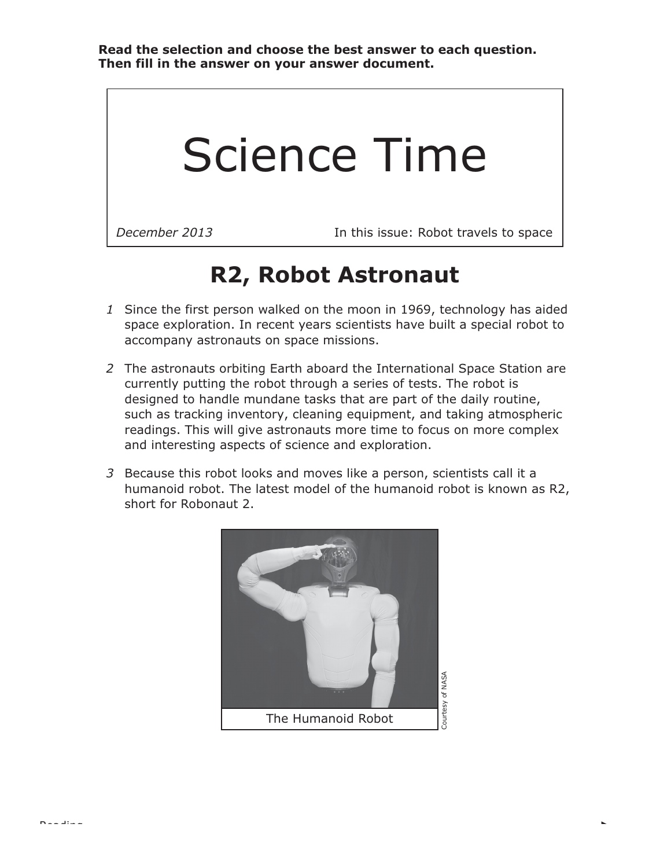## Science Time

Reading

*December 2013* In this issue: Robot travels to space

## **R2, Robot Astronaut**

- *1* Since the first person walked on the moon in 1969, technology has aided space exploration. In recent years scientists have built a special robot to accompany astronauts on space missions.
- *2* The astronauts orbiting Earth aboard the International Space Station are currently putting the robot through a series of tests. The robot is designed to handle mundane tasks that are part of the daily routine, such as tracking inventory, cleaning equipment, and taking atmospheric readings. This will give astronauts more time to focus on more complex and interesting aspects of science and exploration.
- *3* Because this robot looks and moves like a person, scientists call it a humanoid robot. The latest model of the humanoid robot is known as R2, short for Robonaut 2.

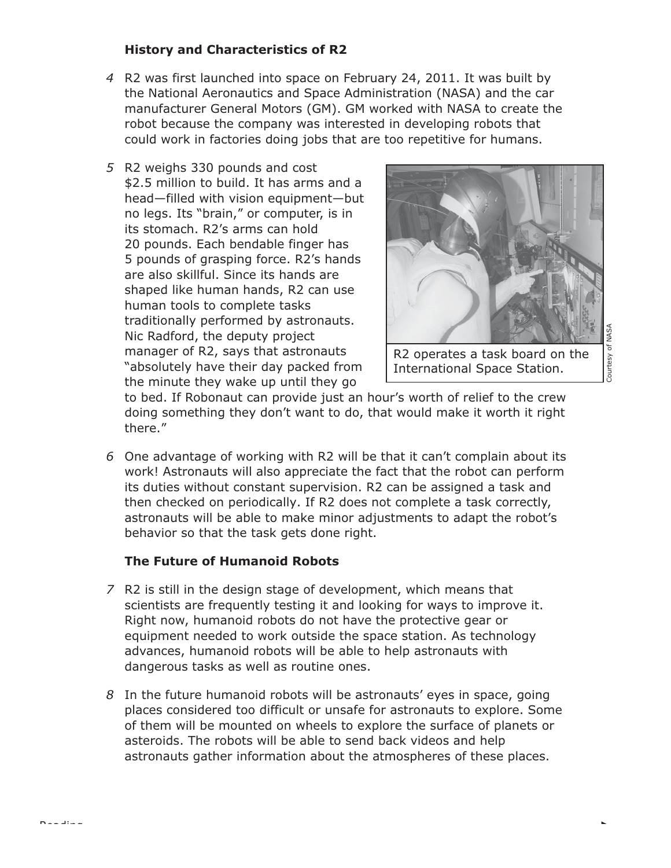## **History and Characteristics of R2**

- *4* R2 was first launched into space on February 24, 2011. It was built by the National Aeronautics and Space Administration (NASA) and the car manufacturer General Motors (GM). GM worked with NASA to create the robot because the company was interested in developing robots that could work in factories doing jobs that are too repetitive for humans.
- *5* R2 weighs 330 pounds and cost \$2.5 million to build. It has arms and a head—filled with vision equipment—but no legs. Its "brain," or computer, is in its stomach. R2's arms can hold 20 pounds. Each bendable finger has 5 pounds of grasping force. R2's hands are also skillful. Since its hands are shaped like human hands, R2 can use human tools to complete tasks traditionally performed by astronauts. Nic Radford, the deputy project manager of R2, says that astronauts "absolutely have their day packed from the minute they wake up until they go



Courtesy of NASA Courtesy of NASA

to bed. If Robonaut can provide just an hour's worth of relief to the crew doing something they don't want to do, that would make it worth it right there."

*6* One advantage of working with R2 will be that it can't complain about its work! Astronauts will also appreciate the fact that the robot can perform its duties without constant supervision. R2 can be assigned a task and then checked on periodically. If R2 does not complete a task correctly, astronauts will be able to make minor adjustments to adapt the robot's behavior so that the task gets done right.

## **The Future of Humanoid Robots**

- *7* R2 is still in the design stage of development, which means that scientists are frequently testing it and looking for ways to improve it. Right now, humanoid robots do not have the protective gear or equipment needed to work outside the space station. As technology advances, humanoid robots will be able to help astronauts with dangerous tasks as well as routine ones.
- *8* In the future humanoid robots will be astronauts' eyes in space, going places considered too difficult or unsafe for astronauts to explore. Some of them will be mounted on wheels to explore the surface of planets or asteroids. The robots will be able to send back videos and help astronauts gather information about the atmospheres of these places.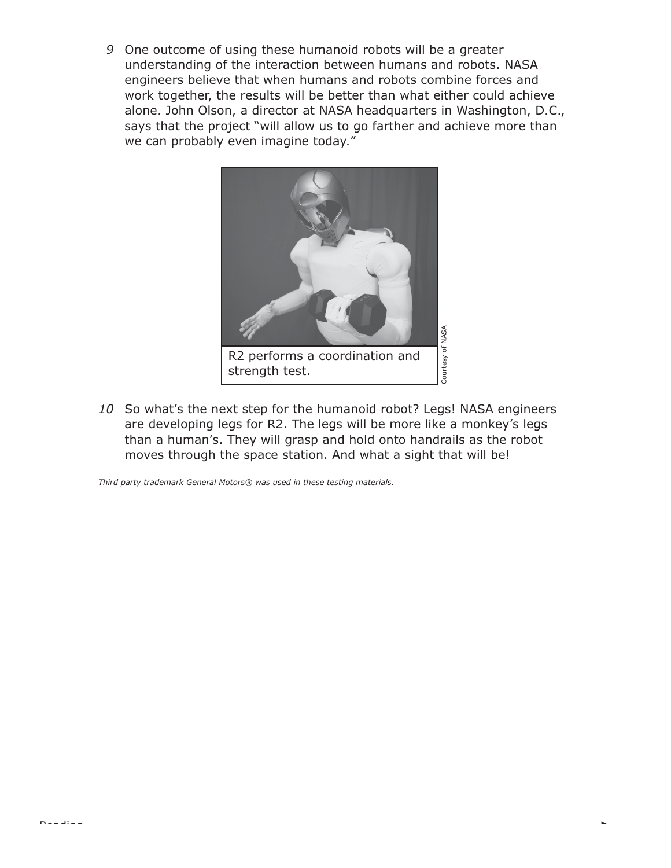*9* One outcome of using these humanoid robots will be a greater understanding of the interaction between humans and robots. NASA engineers believe that when humans and robots combine forces and work together, the results will be better than what either could achieve alone. John Olson, a director at NASA headquarters in Washington, D.C., says that the project "will allow us to go farther and achieve more than we can probably even imagine today."



*10* So what's the next step for the humanoid robot? Legs! NASA engineers are developing legs for R2. The legs will be more like a monkey's legs than a human's. They will grasp and hold onto handrails as the robot moves through the space station. And what a sight that will be!

*Third party trademark General Motors® was used in these testing materials.*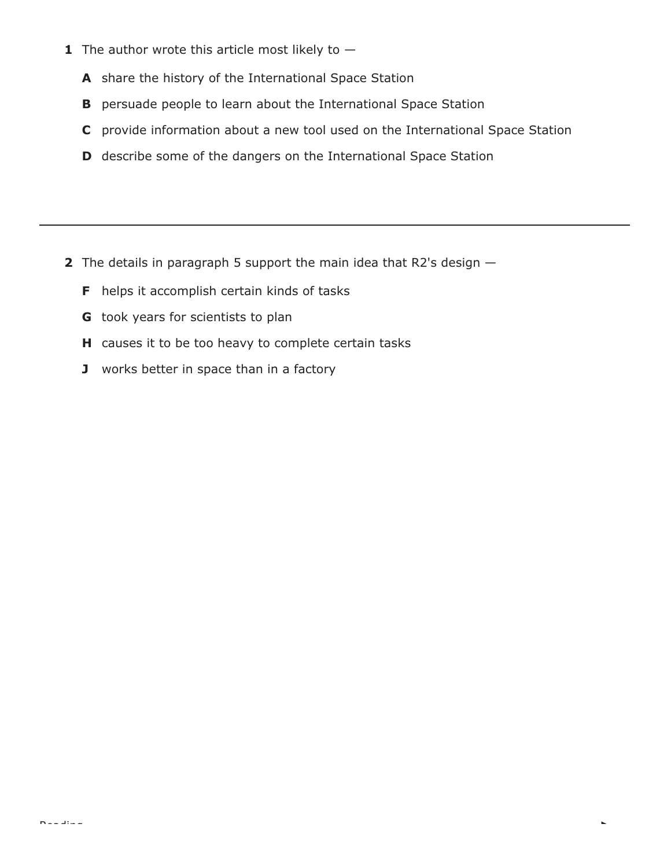- **1** The author wrote this article most likely to  $-$ 
	- **A** share the history of the International Space Station
	- **B** persuade people to learn about the International Space Station
	- **C** provide information about a new tool used on the International Space Station

k.

**D** describe some of the dangers on the International Space Station

- **2** The details in paragraph 5 support the main idea that R2's design
	- **F** helps it accomplish certain kinds of tasks
	- **G** took years for scientists to plan
	- **H** causes it to be too heavy to complete certain tasks
	- **J** works better in space than in a factory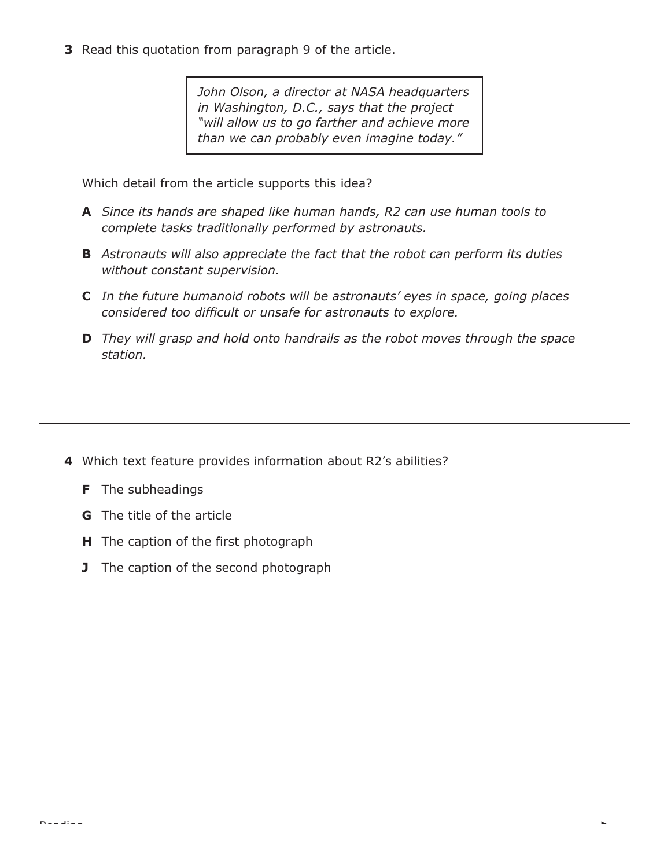**3** Read this quotation from paragraph 9 of the article.

*John Olson, a director at NASA headquarters in Washington, D.C., says that the project "will allow us to go farther and achieve more than we can probably even imagine today."*

Which detail from the article supports this idea?

- **A** *Since its hands are shaped like human hands, R2 can use human tools to complete tasks traditionally performed by astronauts.*
- **B** *Astronauts will also appreciate the fact that the robot can perform its duties without constant supervision.*
- **C** *In the future humanoid robots will be astronauts' eyes in space, going places considered too difficult or unsafe for astronauts to explore.*
- **D** *They will grasp and hold onto handrails as the robot moves through the space station.*

- **4** Which text feature provides information about R2's abilities?
	- **F** The subheadings
	- **G** The title of the article
	- **H** The caption of the first photograph
	- **J** The caption of the second photograph